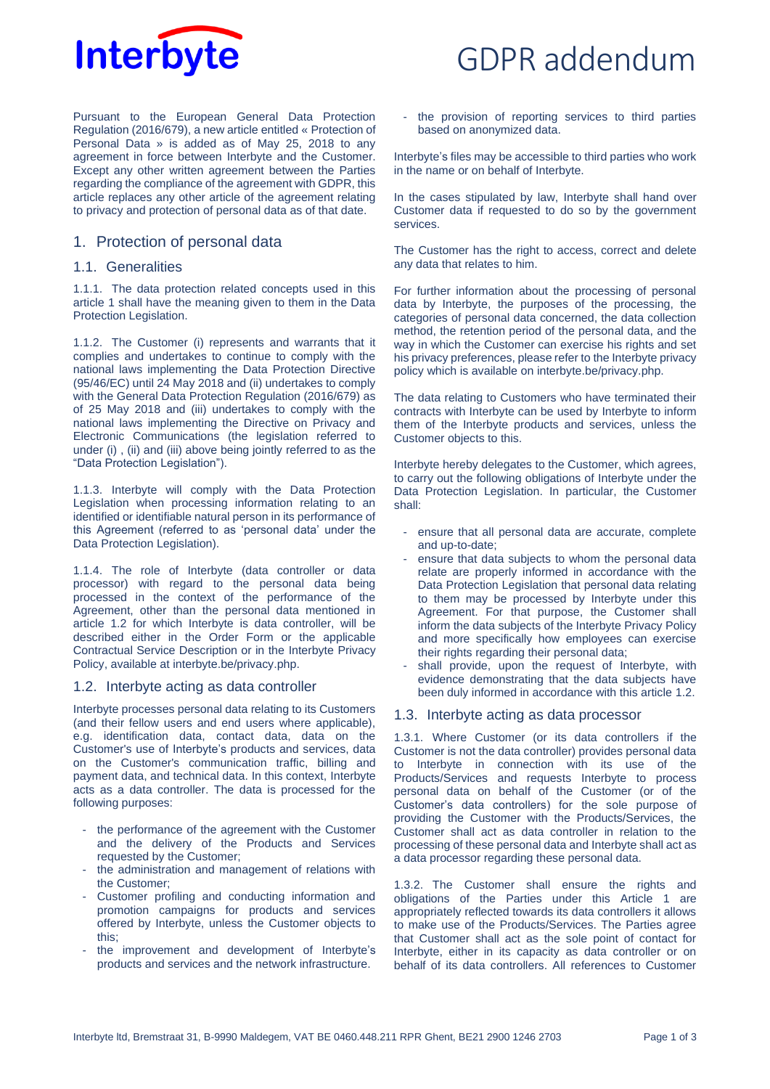

Pursuant to the European General Data Protection Regulation (2016/679), a new article entitled « Protection of Personal Data » is added as of May 25, 2018 to any agreement in force between Interbyte and the Customer. Except any other written agreement between the Parties regarding the compliance of the agreement with GDPR, this article replaces any other article of the agreement relating to privacy and protection of personal data as of that date.

## <span id="page-0-0"></span>1. Protection of personal data

### 1.1. Generalities

1.1.1. The data protection related concepts used in this article [1](#page-0-0) shall have the meaning given to them in the Data Protection Legislation.

1.1.2. The Customer (i) represents and warrants that it complies and undertakes to continue to comply with the national laws implementing the Data Protection Directive (95/46/EC) until 24 May 2018 and (ii) undertakes to comply with the General Data Protection Regulation (2016/679) as of 25 May 2018 and (iii) undertakes to comply with the national laws implementing the Directive on Privacy and Electronic Communications (the legislation referred to under (i) , (ii) and (iii) above being jointly referred to as the "Data Protection Legislation").

1.1.3. Interbyte will comply with the Data Protection Legislation when processing information relating to an identified or identifiable natural person in its performance of this Agreement (referred to as 'personal data' under the Data Protection Legislation).

1.1.4. The role of Interbyte (data controller or data processor) with regard to the personal data being processed in the context of the performance of the Agreement, other than the personal data mentioned in article [1.2](#page-0-1) for which Interbyte is data controller, will be described either in the Order Form or the applicable Contractual Service Description or in the Interbyte Privacy Policy, available at interbyte.be/privacy.php.

### <span id="page-0-1"></span>1.2. Interbyte acting as data controller

Interbyte processes personal data relating to its Customers (and their fellow users and end users where applicable), e.g. identification data, contact data, data on the Customer's use of Interbyte's products and services, data on the Customer's communication traffic, billing and payment data, and technical data. In this context, Interbyte acts as a data controller. The data is processed for the following purposes:

- the performance of the agreement with the Customer and the delivery of the Products and Services requested by the Customer;
- the administration and management of relations with the Customer;
- Customer profiling and conducting information and promotion campaigns for products and services offered by Interbyte, unless the Customer objects to this;
- the improvement and development of Interbyte's products and services and the network infrastructure.

- the provision of reporting services to third parties based on anonymized data.

Interbyte's files may be accessible to third parties who work in the name or on behalf of Interbyte.

In the cases stipulated by law, Interbyte shall hand over Customer data if requested to do so by the government services.

The Customer has the right to access, correct and delete any data that relates to him.

For further information about the processing of personal data by Interbyte, the purposes of the processing, the categories of personal data concerned, the data collection method, the retention period of the personal data, and the way in which the Customer can exercise his rights and set his privacy preferences, please refer to the Interbyte privacy policy which is available on interbyte.be/privacy.php.

The data relating to Customers who have terminated their contracts with Interbyte can be used by Interbyte to inform them of the Interbyte products and services, unless the Customer objects to this.

Interbyte hereby delegates to the Customer, which agrees, to carry out the following obligations of Interbyte under the Data Protection Legislation. In particular, the Customer shall:

- ensure that all personal data are accurate, complete and up-to-date;
- ensure that data subjects to whom the personal data relate are properly informed in accordance with the Data Protection Legislation that personal data relating to them may be processed by Interbyte under this Agreement. For that purpose, the Customer shall inform the data subjects of the Interbyte Privacy Policy and more specifically how employees can exercise their rights regarding their personal data;
- shall provide, upon the request of Interbyte, with evidence demonstrating that the data subjects have been duly informed in accordance with this article [1.2.](#page-0-1)

### <span id="page-0-2"></span>1.3. Interbyte acting as data processor

1.3.1. Where Customer (or its data controllers if the Customer is not the data controller) provides personal data to Interbyte in connection with its use of the Products/Services and requests Interbyte to process personal data on behalf of the Customer (or of the Customer's data controllers) for the sole purpose of providing the Customer with the Products/Services, the Customer shall act as data controller in relation to the processing of these personal data and Interbyte shall act as a data processor regarding these personal data.

1.3.2. The Customer shall ensure the rights and obligations of the Parties under this Article [1](#page-0-0) are appropriately reflected towards its data controllers it allows to make use of the Products/Services. The Parties agree that Customer shall act as the sole point of contact for Interbyte, either in its capacity as data controller or on behalf of its data controllers. All references to Customer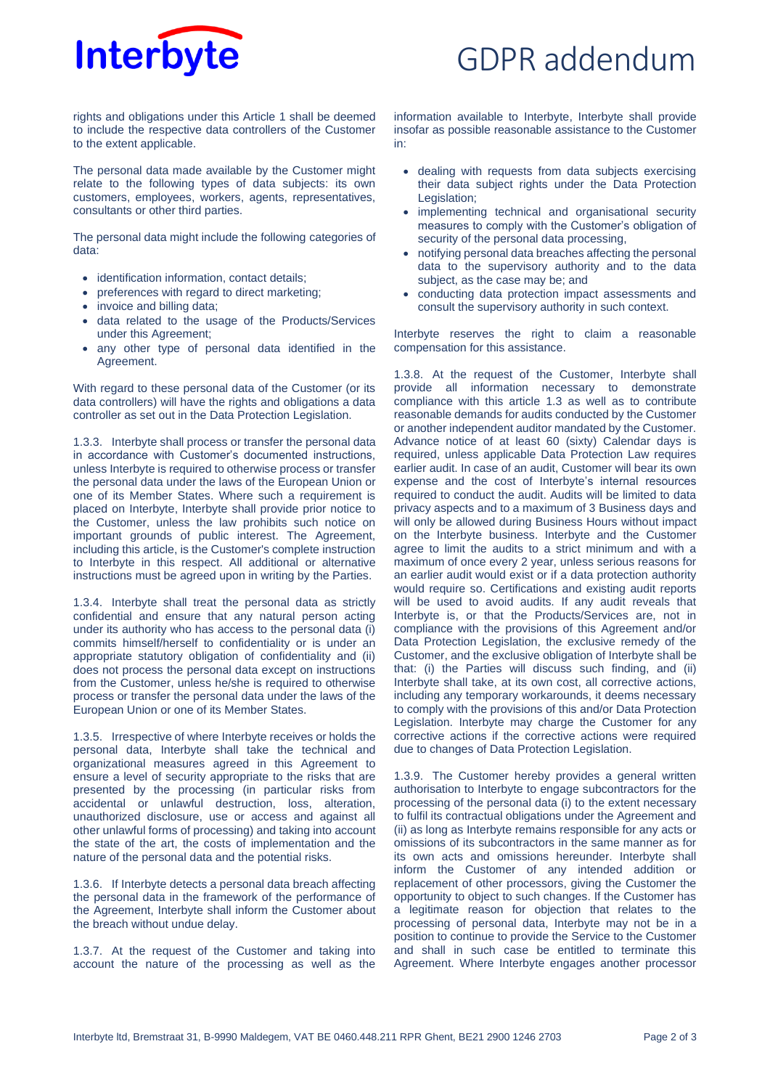

rights and obligations under this Article [1](#page-0-0) shall be deemed to include the respective data controllers of the Customer to the extent applicable.

The personal data made available by the Customer might relate to the following types of data subjects: its own customers, employees, workers, agents, representatives, consultants or other third parties.

The personal data might include the following categories of data:

- identification information, contact details;
- preferences with regard to direct marketing;
- invoice and billing data:
- data related to the usage of the Products/Services under this Agreement;
- any other type of personal data identified in the Agreement.

With regard to these personal data of the Customer (or its data controllers) will have the rights and obligations a data controller as set out in the Data Protection Legislation.

1.3.3. Interbyte shall process or transfer the personal data in accordance with Customer's documented instructions, unless Interbyte is required to otherwise process or transfer the personal data under the laws of the European Union or one of its Member States. Where such a requirement is placed on Interbyte, Interbyte shall provide prior notice to the Customer, unless the law prohibits such notice on important grounds of public interest. The Agreement, including this article, is the Customer's complete instruction to Interbyte in this respect. All additional or alternative instructions must be agreed upon in writing by the Parties.

1.3.4. Interbyte shall treat the personal data as strictly confidential and ensure that any natural person acting under its authority who has access to the personal data (i) commits himself/herself to confidentiality or is under an appropriate statutory obligation of confidentiality and (ii) does not process the personal data except on instructions from the Customer, unless he/she is required to otherwise process or transfer the personal data under the laws of the European Union or one of its Member States.

1.3.5. Irrespective of where Interbyte receives or holds the personal data, Interbyte shall take the technical and organizational measures agreed in this Agreement to ensure a level of security appropriate to the risks that are presented by the processing (in particular risks from accidental or unlawful destruction, loss, alteration, unauthorized disclosure, use or access and against all other unlawful forms of processing) and taking into account the state of the art, the costs of implementation and the nature of the personal data and the potential risks.

1.3.6. If Interbyte detects a personal data breach affecting the personal data in the framework of the performance of the Agreement, Interbyte shall inform the Customer about the breach without undue delay.

1.3.7. At the request of the Customer and taking into account the nature of the processing as well as the information available to Interbyte, Interbyte shall provide insofar as possible reasonable assistance to the Customer in:

- dealing with requests from data subjects exercising their data subject rights under the Data Protection Legislation;
- implementing technical and organisational security measures to comply with the Customer's obligation of security of the personal data processing,
- notifying personal data breaches affecting the personal data to the supervisory authority and to the data subject, as the case may be; and
- conducting data protection impact assessments and consult the supervisory authority in such context.

Interbyte reserves the right to claim a reasonable compensation for this assistance.

1.3.8. At the request of the Customer, Interbyte shall provide all information necessary to demonstrate compliance with this article [1.3](#page-0-2) as well as to contribute reasonable demands for audits conducted by the Customer or another independent auditor mandated by the Customer. Advance notice of at least 60 (sixty) Calendar days is required, unless applicable Data Protection Law requires earlier audit. In case of an audit, Customer will bear its own expense and the cost of Interbyte's internal resources required to conduct the audit. Audits will be limited to data privacy aspects and to a maximum of 3 Business days and will only be allowed during Business Hours without impact on the Interbyte business. Interbyte and the Customer agree to limit the audits to a strict minimum and with a maximum of once every 2 year, unless serious reasons for an earlier audit would exist or if a data protection authority would require so. Certifications and existing audit reports will be used to avoid audits. If any audit reveals that Interbyte is, or that the Products/Services are, not in compliance with the provisions of this Agreement and/or Data Protection Legislation, the exclusive remedy of the Customer, and the exclusive obligation of Interbyte shall be that: (i) the Parties will discuss such finding, and (ii) Interbyte shall take, at its own cost, all corrective actions, including any temporary workarounds, it deems necessary to comply with the provisions of this and/or Data Protection Legislation. Interbyte may charge the Customer for any corrective actions if the corrective actions were required due to changes of Data Protection Legislation.

1.3.9. The Customer hereby provides a general written authorisation to Interbyte to engage subcontractors for the processing of the personal data (i) to the extent necessary to fulfil its contractual obligations under the Agreement and (ii) as long as Interbyte remains responsible for any acts or omissions of its subcontractors in the same manner as for its own acts and omissions hereunder. Interbyte shall inform the Customer of any intended addition or replacement of other processors, giving the Customer the opportunity to object to such changes. If the Customer has a legitimate reason for objection that relates to the processing of personal data, Interbyte may not be in a position to continue to provide the Service to the Customer and shall in such case be entitled to terminate this Agreement. Where Interbyte engages another processor